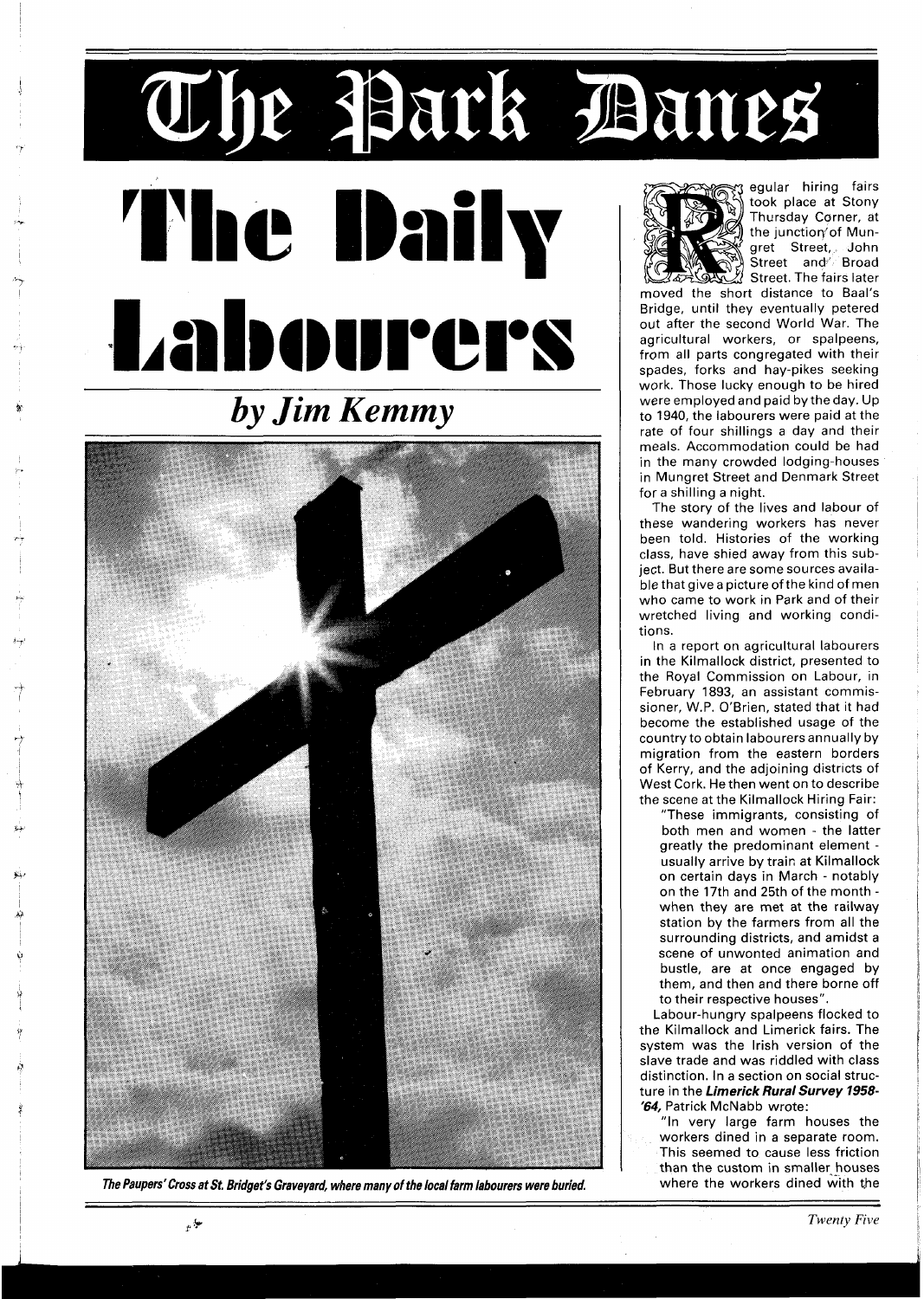## The Park Banes egular hiring fairs The Daily took place at Stony Thursday Carner, at the junction of Mungret Street, John Street and<sup>//</sup> Broad Street. The fairs later

moved the short distance to Baal's Bridge, until they eventually petered out after the second World War. The agricultural workers, or spalpeens, from all parts congregated with their spades, forks and hay-pikes seeking work. Those lucky enough to be hired were employed and paid by the day. Up to 1940, the labourers were paid at the rate of four shillings a day and their meals. Accommodation could be had in the many crowded lodging-houses in Mungret Street and Denmark Street for a shilling a night.

The story of the lives and labour of these wandering workers has never been told. Histories of the working class, have shied away from this subject. But there are some sources available that give a picture of the kind of men who came to work in Park and of their wretched living and working conditions.

In a report on agricultural labourers in the Kilmallock district, presented to the Royal Commission on Labour, in February 1893, an assistant commissioner, W.P. O'Brien, stated that it had become the established usage of the country to obtain labourers annually by migration from the eastern borders of Kerry, and the adjoining districts of West Cork. He then went on to describe the scene at the Kilmallock Hiring Fair:

"These immigrants, consisting of both men and women - the latter greatly the predominant element usually arrive by train at Kilmallock on certain days in March - notably on the 17th and 25th of the month when they are met at the railway station by the farmers from all the surrounding districts, and amidst a scene of unwonted animation and bustle, are at once engaged by them, and then and there borne off to their respective houses".

Labour-hungry spalpeens flocked to the Kilmallock and Limerick fairs. The system was the Irish version of the slave trade and was riddled with class distinction. In a section on social structure in the Limerick Rural Survey 1958-**'64,** Patrick McNabb wrote:

"In very large farm houses the workers dined in a separate room. This seemed to cause less friction than the custom in smaller houses where the workers dined with the

**The Paupers'Cross at St. Bridget's Graveyard, where many of the local farm labourers were buried** 



Labourers